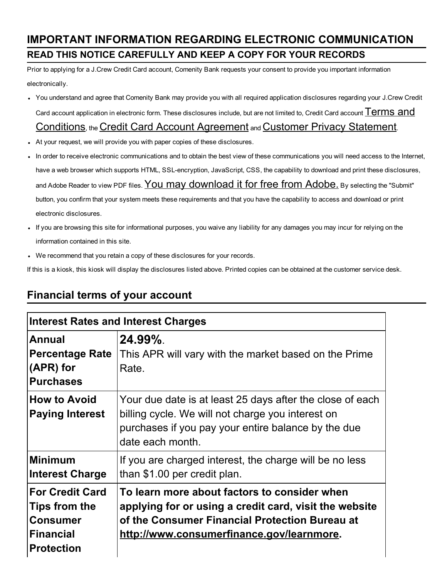# IMPORTANT INFORMATION REGARDING ELECTRONIC COMMUNICATION READ THIS NOTICE CAREFULLY AND KEEP A COPY FOR YOUR RECORDS

Prior to applying for a J.Crew Credit Card account, Comenity Bank requests your consent to provide you important information electronically.

- You understand and agree that Comenity Bank may provide you with all required application disclosures regarding your J.Crew Credit Card account application in electronic form. These disclosures include, but are not limited to, Credit Card account  $Terms$  and Conditions, the Credit Card Account Agreement and Customer Privacy Statement.
- At your request, we will provide you with paper copies of these disclosures.
- In order to receive electronic communications and to obtain the best view of these communications you will need access to the Internet, have a web browser which supports HTML, SSL-encryption, JavaScript, CSS, the capability to download and print these disclosures, and Adobe Reader to view PDF files. You may download it for free from Adobe. By selecting the "Submit" button, you confirm that your system meets these requirements and that you have the capability to access and download or print electronic disclosures.
- If you are browsing this site for informational purposes, you waive any liability for any damages you may incur for relying on the information contained in this site.
- We recommend that you retain a copy of these disclosures for your records.

If this is a kiosk, this kiosk will display the disclosures listed above. Printed copies can be obtained at the customer service desk.

## Financial terms of your account

| <b>Interest Rates and Interest Charges</b>                                                          |                                                                                                                                                                                                       |  |
|-----------------------------------------------------------------------------------------------------|-------------------------------------------------------------------------------------------------------------------------------------------------------------------------------------------------------|--|
| <b>Annual</b><br><b>Percentage Rate</b><br>(APR) for<br><b>Purchases</b>                            | $24.99\%$ .<br>This APR will vary with the market based on the Prime<br>Rate.                                                                                                                         |  |
| <b>How to Avoid</b><br><b>Paying Interest</b>                                                       | Your due date is at least 25 days after the close of each<br>billing cycle. We will not charge you interest on<br>purchases if you pay your entire balance by the due<br>date each month.             |  |
| <b>Minimum</b><br><b>Interest Charge</b>                                                            | If you are charged interest, the charge will be no less<br>than \$1.00 per credit plan.                                                                                                               |  |
| <b>For Credit Card</b><br>Tips from the<br><b>Consumer</b><br><b>Financial</b><br><b>Protection</b> | To learn more about factors to consider when<br>applying for or using a credit card, visit the website<br>of the Consumer Financial Protection Bureau at<br>http://www.consumerfinance.gov/learnmore. |  |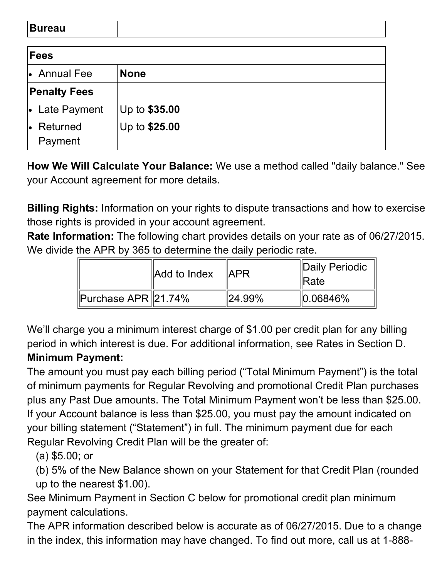| <b>Fees</b>                  |               |
|------------------------------|---------------|
| <b>Annual Fee</b>            | <b>None</b>   |
| <b>Penalty Fees</b>          |               |
| • Late Payment               | Up to \$35.00 |
| <b>-</b> Returned<br>Payment | Up to \$25.00 |

How We Will Calculate Your Balance: We use a method called "daily balance." See your Account agreement for more details.

Billing Rights: Information on your rights to dispute transactions and how to exercise those rights is provided in your account agreement.

Rate Information: The following chart provides details on your rate as of 06/27/2015. We divide the APR by 365 to determine the daily periodic rate.

|                               | $\mathbb{I}$ APR<br>Add to Index |                    | Daily Periodic<br>$\mathbb I\mathsf{Rate}$ |
|-------------------------------|----------------------------------|--------------------|--------------------------------------------|
| $\ $ Purchase APR $\ $ 21.74% |                                  | $\parallel$ 24.99% | $ 0.06846\%$                               |

We'll charge you a minimum interest charge of \$1.00 per credit plan for any billing period in which interest is due. For additional information, see Rates in Section D. Minimum Payment:

The amount you must pay each billing period ("Total Minimum Payment") is the total of minimum payments for Regular Revolving and promotional Credit Plan purchases plus any Past Due amounts. The Total Minimum Payment won't be less than \$25.00. If your Account balance is less than \$25.00, you must pay the amount indicated on your billing statement ("Statement") in full. The minimum payment due for each Regular Revolving Credit Plan will be the greater of:

(a) \$5.00; or

(b) 5% of the New Balance shown on your Statement for that Credit Plan (rounded up to the nearest \$1.00).

See Minimum Payment in Section C below for promotional credit plan minimum payment calculations.

The APR information described below is accurate as of 06/27/2015. Due to a change in the index, this information may have changed. To find out more, call us at 1-888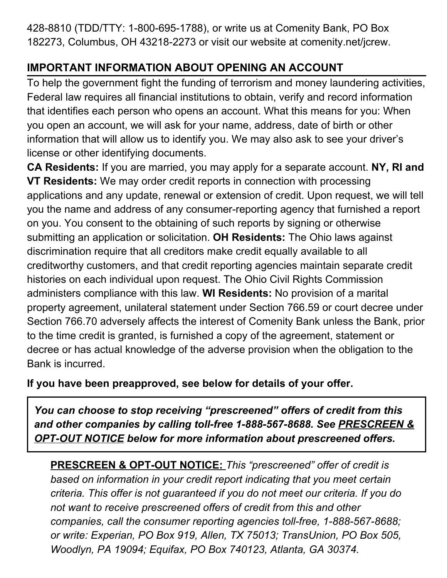428-8810 (TDD/TTY: 1-800-695-1788), or write us at Comenity Bank, PO Box 182273, Columbus, OH 43218-2273 or visit our website at comenity.net/jcrew.

# IMPORTANT INFORMATION ABOUT OPENING AN ACCOUNT

To help the government fight the funding of terrorism and money laundering activities, Federal law requires all financial institutions to obtain, verify and record information that identifies each person who opens an account. What this means for you: When you open an account, we will ask for your name, address, date of birth or other information that will allow us to identify you. We may also ask to see your driver's license or other identifying documents.

CA Residents: If you are married, you may apply for a separate account. NY, RI and VT Residents: We may order credit reports in connection with processing applications and any update, renewal or extension of credit. Upon request, we will tell you the name and address of any consumer-reporting agency that furnished a report on you. You consent to the obtaining of such reports by signing or otherwise submitting an application or solicitation. **OH Residents:** The Ohio laws against discrimination require that all creditors make credit equally available to all creditworthy customers, and that credit reporting agencies maintain separate credit histories on each individual upon request. The Ohio Civil Rights Commission administers compliance with this law. WI Residents: No provision of a marital property agreement, unilateral statement under Section 766.59 or court decree under Section 766.70 adversely affects the interest of Comenity Bank unless the Bank, prior to the time credit is granted, is furnished a copy of the agreement, statement or decree or has actual knowledge of the adverse provision when the obligation to the Bank is incurred.

### If you have been preapproved, see below for details of your offer.

*You can choose to stop receiving "prescreened" offers of credit from this and other companies by calling tollfree 18885678688. See PRESCREEN & <u>OPT-OUT NOTICE</u> below for more information about prescreened offers.* 

**PRESCREEN & OPT-OUT NOTICE:** This "prescreened" offer of credit is *based on information in your credit report indicating that you meet certain criteria. This offer is not guaranteed if you do not meet our criteria. If you do not want to receive prescreened offers of credit from this and other companies, call the consumer reporting agencies <i>toll-free, 1-888-567-8688; or write: Experian, PO Box 919, Allen, TX 75013; TransUnion, PO Box 505, Woodlyn, PA 19094; Equifax, PO Box 740123, Atlanta, GA 30374.*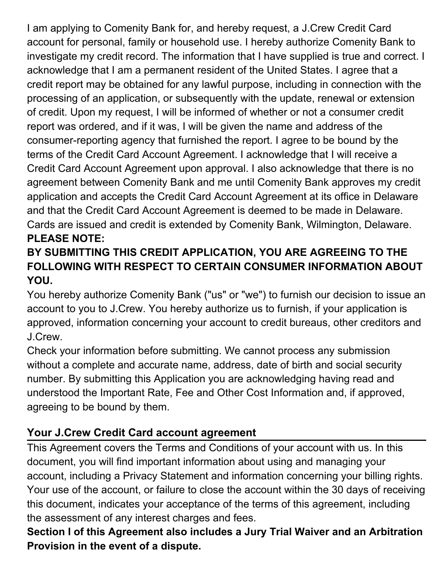I am applying to Comenity Bank for, and hereby request, a J.Crew Credit Card account for personal, family or household use. I hereby authorize Comenity Bank to investigate my credit record. The information that I have supplied is true and correct. I acknowledge that I am a permanent resident of the United States. I agree that a credit report may be obtained for any lawful purpose, including in connection with the processing of an application, or subsequently with the update, renewal or extension of credit. Upon my request, I will be informed of whether or not a consumer credit report was ordered, and if it was, I will be given the name and address of the consumer-reporting agency that furnished the report. I agree to be bound by the terms of the Credit Card Account Agreement. I acknowledge that I will receive a Credit Card Account Agreement upon approval. I also acknowledge that there is no agreement between Comenity Bank and me until Comenity Bank approves my credit application and accepts the Credit Card Account Agreement at its office in Delaware and that the Credit Card Account Agreement is deemed to be made in Delaware. Cards are issued and credit is extended by Comenity Bank, Wilmington, Delaware. PLEASE NOTE:

# BY SUBMITTING THIS CREDIT APPLICATION, YOU ARE AGREEING TO THE FOLLOWING WITH RESPECT TO CERTAIN CONSUMER INFORMATION ABOUT YOU.

You hereby authorize Comenity Bank ("us" or "we") to furnish our decision to issue an account to you to J.Crew. You hereby authorize us to furnish, if your application is approved, information concerning your account to credit bureaus, other creditors and J.Crew.

Check your information before submitting. We cannot process any submission without a complete and accurate name, address, date of birth and social security number. By submitting this Application you are acknowledging having read and understood the Important Rate, Fee and Other Cost Information and, if approved, agreeing to be bound by them.

# Your J.Crew Credit Card account agreement

This Agreement covers the Terms and Conditions of your account with us. In this document, you will find important information about using and managing your account, including a Privacy Statement and information concerning your billing rights. Your use of the account, or failure to close the account within the 30 days of receiving this document, indicates your acceptance of the terms of this agreement, including the assessment of any interest charges and fees.

Section I of this Agreement also includes a Jury Trial Waiver and an Arbitration Provision in the event of a dispute.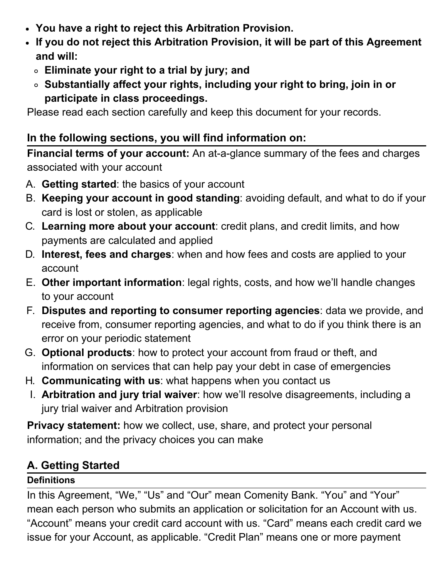- You have a right to reject this Arbitration Provision.
- If you do not reject this Arbitration Provision, it will be part of this Agreement and will:
	- Eliminate your right to a trial by jury; and
	- Substantially affect your rights, including your right to bring, join in or participate in class proceedings.

Please read each section carefully and keep this document for your records.

## In the following sections, you will find information on:

Financial terms of your account: An at-a-glance summary of the fees and charges associated with your account

- A. Getting started: the basics of your account
- B. Keeping your account in good standing: avoiding default, and what to do if your card is lost or stolen, as applicable
- C. Learning more about your account: credit plans, and credit limits, and how payments are calculated and applied
- D. Interest, fees and charges: when and how fees and costs are applied to your account
- E. Other important information: legal rights, costs, and how we'll handle changes to your account
- F. Disputes and reporting to consumer reporting agencies: data we provide, and receive from, consumer reporting agencies, and what to do if you think there is an error on your periodic statement
- G. Optional products: how to protect your account from fraud or theft, and information on services that can help pay your debt in case of emergencies
- H. Communicating with us: what happens when you contact us
- I. Arbitration and jury trial waiver: how we'll resolve disagreements, including a jury trial waiver and Arbitration provision

Privacy statement: how we collect, use, share, and protect your personal information; and the privacy choices you can make

# A. Getting Started

### **Definitions**

In this Agreement, "We," "Us" and "Our" mean Comenity Bank. "You" and "Your" mean each person who submits an application or solicitation for an Account with us. "Account" means your credit card account with us. "Card" means each credit card we issue for your Account, as applicable. "Credit Plan" means one or more payment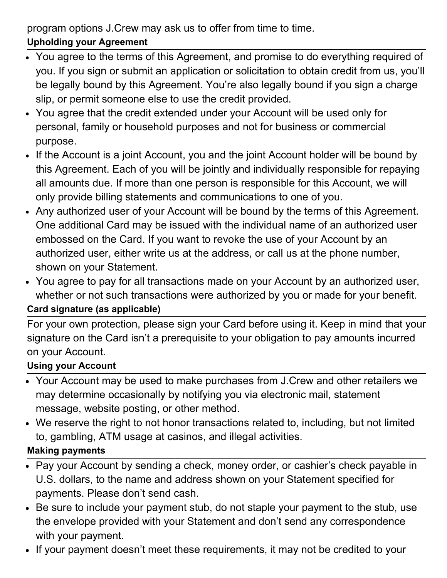program options J.Crew may ask us to offer from time to time.

## Upholding your Agreement

- You agree to the terms of this Agreement, and promise to do everything required of you. If you sign or submit an application or solicitation to obtain credit from us, you'll be legally bound by this Agreement. You're also legally bound if you sign a charge slip, or permit someone else to use the credit provided.
- You agree that the credit extended under your Account will be used only for personal, family or household purposes and not for business or commercial purpose.
- If the Account is a joint Account, you and the joint Account holder will be bound by this Agreement. Each of you will be jointly and individually responsible for repaying all amounts due. If more than one person is responsible for this Account, we will only provide billing statements and communications to one of you.
- Any authorized user of your Account will be bound by the terms of this Agreement. One additional Card may be issued with the individual name of an authorized user embossed on the Card. If you want to revoke the use of your Account by an authorized user, either write us at the address, or call us at the phone number, shown on your Statement.
- You agree to pay for all transactions made on your Account by an authorized user, whether or not such transactions were authorized by you or made for your benefit.

### Card signature (as applicable)

For your own protection, please sign your Card before using it. Keep in mind that your signature on the Card isn't a prerequisite to your obligation to pay amounts incurred on your Account.

### Using your Account

- Your Account may be used to make purchases from J.Crew and other retailers we may determine occasionally by notifying you via electronic mail, statement message, website posting, or other method.
- We reserve the right to not honor transactions related to, including, but not limited to, gambling, ATM usage at casinos, and illegal activities.

### Making payments

- Pay your Account by sending a check, money order, or cashier's check payable in U.S. dollars, to the name and address shown on your Statement specified for payments. Please don't send cash.
- Be sure to include your payment stub, do not staple your payment to the stub, use the envelope provided with your Statement and don't send any correspondence with your payment.
- If your payment doesn't meet these requirements, it may not be credited to your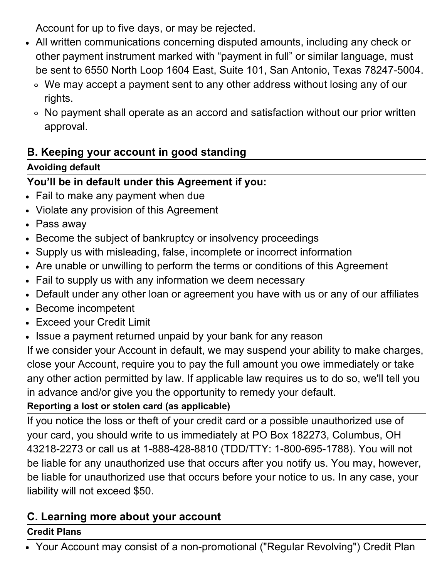Account for up to five days, or may be rejected.

- All written communications concerning disputed amounts, including any check or other payment instrument marked with "payment in full" or similar language, must be sent to 6550 North Loop 1604 East, Suite 101, San Antonio, Texas 78247-5004.
	- We may accept a payment sent to any other address without losing any of our rights.
	- No payment shall operate as an accord and satisfaction without our prior written approval.

## B. Keeping your account in good standing

## Avoiding default

# You'll be in default under this Agreement if you:

- Fail to make any payment when due
- Violate any provision of this Agreement
- Pass away
- Become the subject of bankruptcy or insolvency proceedings
- Supply us with misleading, false, incomplete or incorrect information
- Are unable or unwilling to perform the terms or conditions of this Agreement
- Fail to supply us with any information we deem necessary
- Default under any other loan or agreement you have with us or any of our affiliates
- Become incompetent
- Exceed your Credit Limit
- Issue a payment returned unpaid by your bank for any reason

If we consider your Account in default, we may suspend your ability to make charges, close your Account, require you to pay the full amount you owe immediately or take any other action permitted by law. If applicable law requires us to do so, we'll tell you in advance and/or give you the opportunity to remedy your default.

# Reporting a lost or stolen card (as applicable)

If you notice the loss or theft of your credit card or a possible unauthorized use of your card, you should write to us immediately at PO Box 182273, Columbus, OH 43218-2273 or call us at 1-888-428-8810 (TDD/TTY: 1-800-695-1788). You will not be liable for any unauthorized use that occurs after you notify us. You may, however, be liable for unauthorized use that occurs before your notice to us. In any case, your liability will not exceed \$50.

# C. Learning more about your account

## Credit Plans

• Your Account may consist of a non-promotional ("Regular Revolving") Credit Plan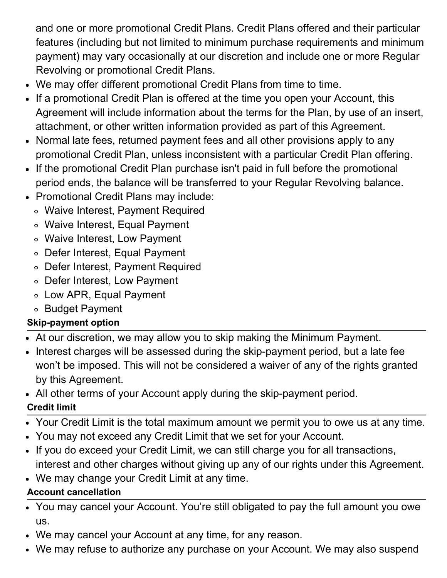and one or more promotional Credit Plans. Credit Plans offered and their particular features (including but not limited to minimum purchase requirements and minimum payment) may vary occasionally at our discretion and include one or more Regular Revolving or promotional Credit Plans.

- We may offer different promotional Credit Plans from time to time.
- If a promotional Credit Plan is offered at the time you open your Account, this Agreement will include information about the terms for the Plan, by use of an insert, attachment, or other written information provided as part of this Agreement.
- Normal late fees, returned payment fees and all other provisions apply to any promotional Credit Plan, unless inconsistent with a particular Credit Plan offering.
- If the promotional Credit Plan purchase isn't paid in full before the promotional period ends, the balance will be transferred to your Regular Revolving balance.
- Promotional Credit Plans may include:
	- Waive Interest, Payment Required
	- Waive Interest, Equal Payment
	- Waive Interest, Low Payment
	- Defer Interest, Equal Payment
	- Defer Interest, Payment Required
	- Defer Interest, Low Payment
	- Low APR, Equal Payment
	- Budget Payment

## Skip-payment option

- At our discretion, we may allow you to skip making the Minimum Payment.
- Interest charges will be assessed during the skip-payment period, but a late fee won't be imposed. This will not be considered a waiver of any of the rights granted by this Agreement.
- All other terms of your Account apply during the skip-payment period.

## Credit limit

- Your Credit Limit is the total maximum amount we permit you to owe us at any time.
- You may not exceed any Credit Limit that we set for your Account.
- If you do exceed your Credit Limit, we can still charge you for all transactions, interest and other charges without giving up any of our rights under this Agreement.
- We may change your Credit Limit at any time.

## Account cancellation

- You may cancel your Account. You're still obligated to pay the full amount you owe us.
- We may cancel your Account at any time, for any reason.
- We may refuse to authorize any purchase on your Account. We may also suspend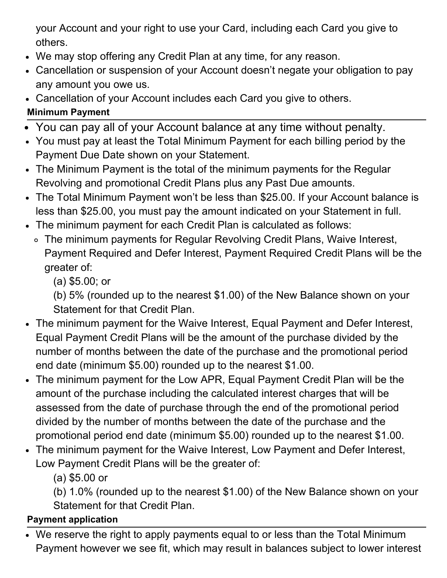your Account and your right to use your Card, including each Card you give to others.

- We may stop offering any Credit Plan at any time, for any reason.
- Cancellation or suspension of your Account doesn't negate your obligation to pay any amount you owe us.
- Cancellation of your Account includes each Card you give to others.

# Minimum Payment

- You can pay all of your Account balance at any time without penalty.
- You must pay at least the Total Minimum Payment for each billing period by the Payment Due Date shown on your Statement.
- The Minimum Payment is the total of the minimum payments for the Regular Revolving and promotional Credit Plans plus any Past Due amounts.
- The Total Minimum Payment won't be less than \$25.00. If your Account balance is less than \$25.00, you must pay the amount indicated on your Statement in full.
- The minimum payment for each Credit Plan is calculated as follows:
	- The minimum payments for Regular Revolving Credit Plans, Waive Interest, Payment Required and Defer Interest, Payment Required Credit Plans will be the greater of:
		- (a) \$5.00; or

(b) 5% (rounded up to the nearest \$1.00) of the New Balance shown on your Statement for that Credit Plan.

- The minimum payment for the Waive Interest, Equal Payment and Defer Interest, Equal Payment Credit Plans will be the amount of the purchase divided by the number of months between the date of the purchase and the promotional period end date (minimum \$5.00) rounded up to the nearest \$1.00.
- The minimum payment for the Low APR, Equal Payment Credit Plan will be the amount of the purchase including the calculated interest charges that will be assessed from the date of purchase through the end of the promotional period divided by the number of months between the date of the purchase and the promotional period end date (minimum \$5.00) rounded up to the nearest \$1.00.
- The minimum payment for the Waive Interest, Low Payment and Defer Interest, Low Payment Credit Plans will be the greater of:
	- (a) \$5.00 or

(b) 1.0% (rounded up to the nearest \$1.00) of the New Balance shown on your Statement for that Credit Plan.

# Payment application

We reserve the right to apply payments equal to or less than the Total Minimum Payment however we see fit, which may result in balances subject to lower interest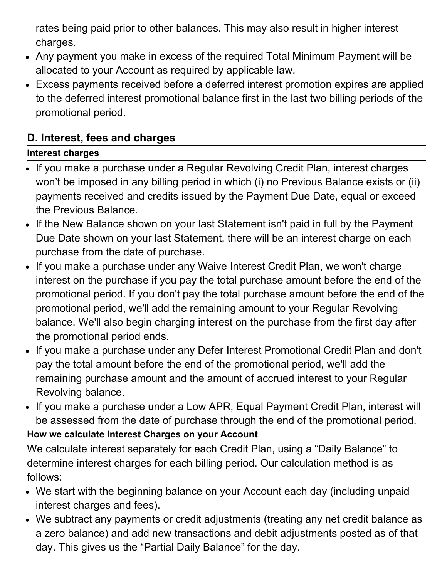rates being paid prior to other balances. This may also result in higher interest charges.

- Any payment you make in excess of the required Total Minimum Payment will be allocated to your Account as required by applicable law.
- Excess payments received before a deferred interest promotion expires are applied to the deferred interest promotional balance first in the last two billing periods of the promotional period.

# D. Interest, fees and charges

## Interest charges

- If you make a purchase under a Regular Revolving Credit Plan, interest charges won't be imposed in any billing period in which (i) no Previous Balance exists or (ii) payments received and credits issued by the Payment Due Date, equal or exceed the Previous Balance.
- If the New Balance shown on your last Statement isn't paid in full by the Payment Due Date shown on your last Statement, there will be an interest charge on each purchase from the date of purchase.
- If you make a purchase under any Waive Interest Credit Plan, we won't charge interest on the purchase if you pay the total purchase amount before the end of the promotional period. If you don't pay the total purchase amount before the end of the promotional period, we'll add the remaining amount to your Regular Revolving balance. We'll also begin charging interest on the purchase from the first day after the promotional period ends.
- If you make a purchase under any Defer Interest Promotional Credit Plan and don't pay the total amount before the end of the promotional period, we'll add the remaining purchase amount and the amount of accrued interest to your Regular Revolving balance.
- If you make a purchase under a Low APR, Equal Payment Credit Plan, interest will be assessed from the date of purchase through the end of the promotional period. How we calculate Interest Charges on your Account

We calculate interest separately for each Credit Plan, using a "Daily Balance" to determine interest charges for each billing period. Our calculation method is as follows:

- We start with the beginning balance on your Account each day (including unpaid interest charges and fees).
- We subtract any payments or credit adjustments (treating any net credit balance as a zero balance) and add new transactions and debit adjustments posted as of that day. This gives us the "Partial Daily Balance" for the day.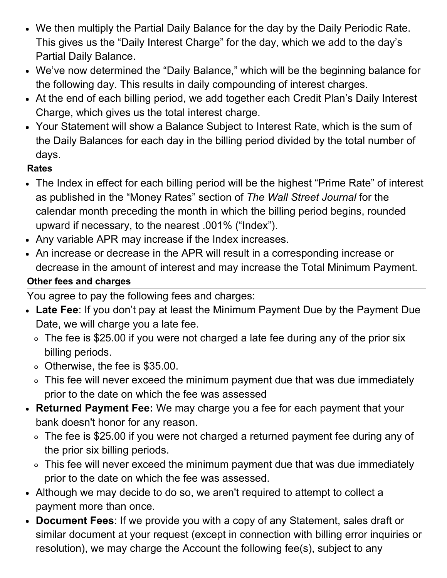- We then multiply the Partial Daily Balance for the day by the Daily Periodic Rate. This gives us the "Daily Interest Charge" for the day, which we add to the day's Partial Daily Balance.
- We've now determined the "Daily Balance," which will be the beginning balance for the following day. This results in daily compounding of interest charges.
- At the end of each billing period, we add together each Credit Plan's Daily Interest Charge, which gives us the total interest charge.
- Your Statement will show a Balance Subject to Interest Rate, which is the sum of the Daily Balances for each day in the billing period divided by the total number of days.

### Rates

- The Index in effect for each billing period will be the highest "Prime Rate" of interest as published in the "Money Rates" section of *The Wall Street Journal* for the calendar month preceding the month in which the billing period begins, rounded upward if necessary, to the nearest .001% ("Index").
- Any variable APR may increase if the Index increases.
- An increase or decrease in the APR will result in a corresponding increase or decrease in the amount of interest and may increase the Total Minimum Payment. Other fees and charges

You agree to pay the following fees and charges:

- Late Fee: If you don't pay at least the Minimum Payment Due by the Payment Due Date, we will charge you a late fee.
	- The fee is \$25.00 if you were not charged a late fee during any of the prior six billing periods.
	- Otherwise, the fee is \$35.00.
	- This fee will never exceed the minimum payment due that was due immediately prior to the date on which the fee was assessed
- Returned Payment Fee: We may charge you a fee for each payment that your bank doesn't honor for any reason.
	- The fee is \$25.00 if you were not charged a returned payment fee during any of the prior six billing periods.
	- This fee will never exceed the minimum payment due that was due immediately prior to the date on which the fee was assessed.
- Although we may decide to do so, we aren't required to attempt to collect a payment more than once.
- Document Fees: If we provide you with a copy of any Statement, sales draft or similar document at your request (except in connection with billing error inquiries or resolution), we may charge the Account the following fee(s), subject to any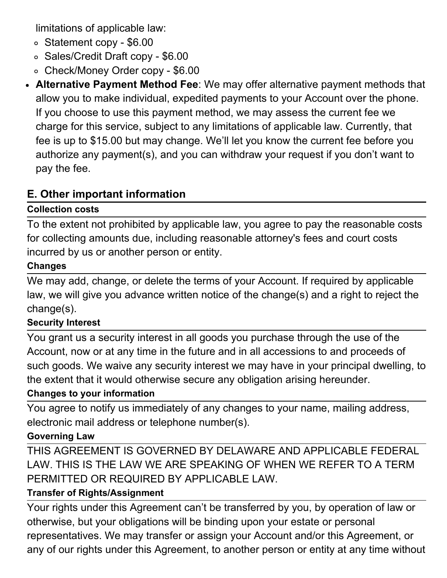limitations of applicable law:

- $\circ$  Statement copy \$6.00
- o Sales/Credit Draft copy \$6.00
- o Check/Money Order copy \$6.00
- Alternative Payment Method Fee: We may offer alternative payment methods that allow you to make individual, expedited payments to your Account over the phone. If you choose to use this payment method, we may assess the current fee we charge for this service, subject to any limitations of applicable law. Currently, that fee is up to \$15.00 but may change. We'll let you know the current fee before you authorize any payment(s), and you can withdraw your request if you don't want to pay the fee.

## E. Other important information

#### Collection costs

To the extent not prohibited by applicable law, you agree to pay the reasonable costs for collecting amounts due, including reasonable attorney's fees and court costs incurred by us or another person or entity.

#### Changes

We may add, change, or delete the terms of your Account. If required by applicable law, we will give you advance written notice of the change(s) and a right to reject the change(s).

#### Security Interest

You grant us a security interest in all goods you purchase through the use of the Account, now or at any time in the future and in all accessions to and proceeds of such goods. We waive any security interest we may have in your principal dwelling, to the extent that it would otherwise secure any obligation arising hereunder.

#### Changes to your information

You agree to notify us immediately of any changes to your name, mailing address, electronic mail address or telephone number(s).

#### Governing Law

THIS AGREEMENT IS GOVERNED BY DELAWARE AND APPLICABLE FEDERAL LAW. THIS IS THE LAW WE ARE SPEAKING OF WHEN WE REFER TO A TERM PERMITTED OR REQUIRED BY APPLICABLE LAW.

#### Transfer of Rights/Assignment

Your rights under this Agreement can't be transferred by you, by operation of law or otherwise, but your obligations will be binding upon your estate or personal representatives. We may transfer or assign your Account and/or this Agreement, or any of our rights under this Agreement, to another person or entity at any time without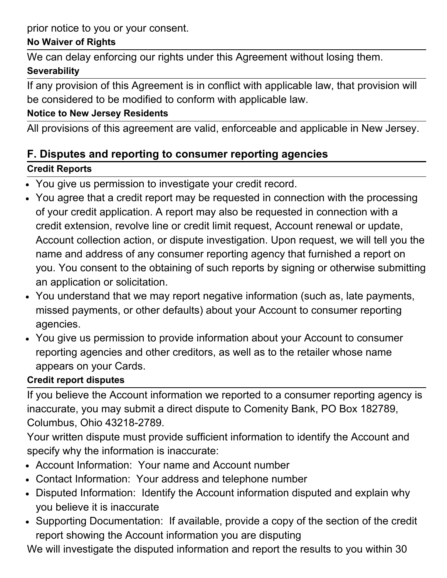prior notice to you or your consent.

### No Waiver of Rights

We can delay enforcing our rights under this Agreement without losing them. **Severability** 

If any provision of this Agreement is in conflict with applicable law, that provision will be considered to be modified to conform with applicable law.

### Notice to New Jersey Residents

All provisions of this agreement are valid, enforceable and applicable in New Jersey.

## F. Disputes and reporting to consumer reporting agencies

### Credit Reports

- You give us permission to investigate your credit record.
- You agree that a credit report may be requested in connection with the processing of your credit application. A report may also be requested in connection with a credit extension, revolve line or credit limit request, Account renewal or update, Account collection action, or dispute investigation. Upon request, we will tell you the name and address of any consumer reporting agency that furnished a report on you. You consent to the obtaining of such reports by signing or otherwise submitting an application or solicitation.
- You understand that we may report negative information (such as, late payments, missed payments, or other defaults) about your Account to consumer reporting agencies.
- You give us permission to provide information about your Account to consumer reporting agencies and other creditors, as well as to the retailer whose name appears on your Cards.

### Credit report disputes

If you believe the Account information we reported to a consumer reporting agency is inaccurate, you may submit a direct dispute to Comenity Bank, PO Box 182789, Columbus, Ohio 43218-2789.

Your written dispute must provide sufficient information to identify the Account and specify why the information is inaccurate:

- Account Information: Your name and Account number
- Contact Information: Your address and telephone number
- Disputed Information: Identify the Account information disputed and explain why you believe it is inaccurate
- Supporting Documentation: If available, provide a copy of the section of the credit report showing the Account information you are disputing

We will investigate the disputed information and report the results to you within 30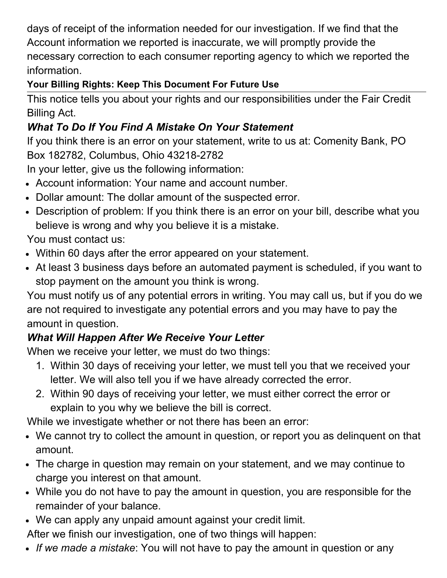days of receipt of the information needed for our investigation. If we find that the Account information we reported is inaccurate, we will promptly provide the necessary correction to each consumer reporting agency to which we reported the information.

## Your Billing Rights: Keep This Document For Future Use

This notice tells you about your rights and our responsibilities under the Fair Credit Billing Act.

# *What To Do If You Find A Mistake On Your Statement*

If you think there is an error on your statement, write to us at: Comenity Bank, PO Box 182782, Columbus, Ohio 43218-2782

In your letter, give us the following information:

- Account information: Your name and account number.
- Dollar amount: The dollar amount of the suspected error.
- Description of problem: If you think there is an error on your bill, describe what you believe is wrong and why you believe it is a mistake.

You must contact us:

- Within 60 days after the error appeared on your statement.
- At least 3 business days before an automated payment is scheduled, if you want to stop payment on the amount you think is wrong.

You must notify us of any potential errors in writing. You may call us, but if you do we are not required to investigate any potential errors and you may have to pay the amount in question.

# *What Will Happen After We Receive Your Letter*

When we receive your letter, we must do two things:

- 1. Within 30 days of receiving your letter, we must tell you that we received your letter. We will also tell you if we have already corrected the error.
- 2. Within 90 days of receiving your letter, we must either correct the error or explain to you why we believe the bill is correct.

While we investigate whether or not there has been an error:

- We cannot try to collect the amount in question, or report you as delinquent on that amount.
- The charge in question may remain on your statement, and we may continue to charge you interest on that amount.
- While you do not have to pay the amount in question, you are responsible for the remainder of your balance.
- We can apply any unpaid amount against your credit limit.

After we finish our investigation, one of two things will happen:

*If we made a mistake*: You will not have to pay the amount in question or any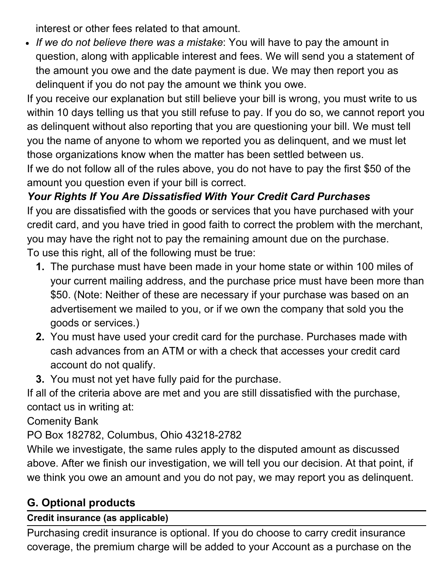interest or other fees related to that amount.

*If we do not believe there was a mistake*: You will have to pay the amount in question, along with applicable interest and fees. We will send you a statement of the amount you owe and the date payment is due. We may then report you as delinquent if you do not pay the amount we think you owe.

If you receive our explanation but still believe your bill is wrong, you must write to us within 10 days telling us that you still refuse to pay. If you do so, we cannot report you as delinquent without also reporting that you are questioning your bill. We must tell you the name of anyone to whom we reported you as delinquent, and we must let those organizations know when the matter has been settled between us.

If we do not follow all of the rules above, you do not have to pay the first \$50 of the amount you question even if your bill is correct.

# *Your Rights If You Are Dissatisfied With Your Credit Card Purchases*

If you are dissatisfied with the goods or services that you have purchased with your credit card, and you have tried in good faith to correct the problem with the merchant, you may have the right not to pay the remaining amount due on the purchase. To use this right, all of the following must be true:

- 1. The purchase must have been made in your home state or within 100 miles of your current mailing address, and the purchase price must have been more than \$50. (Note: Neither of these are necessary if your purchase was based on an advertisement we mailed to you, or if we own the company that sold you the goods or services.)
- 2. You must have used your credit card for the purchase. Purchases made with cash advances from an ATM or with a check that accesses your credit card account do not qualify.
- 3. You must not yet have fully paid for the purchase.

If all of the criteria above are met and you are still dissatisfied with the purchase, contact us in writing at:

Comenity Bank

PO Box 182782, Columbus, Ohio 43218-2782

While we investigate, the same rules apply to the disputed amount as discussed above. After we finish our investigation, we will tell you our decision. At that point, if we think you owe an amount and you do not pay, we may report you as delinquent.

# G. Optional products

### Credit insurance (as applicable)

Purchasing credit insurance is optional. If you do choose to carry credit insurance coverage, the premium charge will be added to your Account as a purchase on the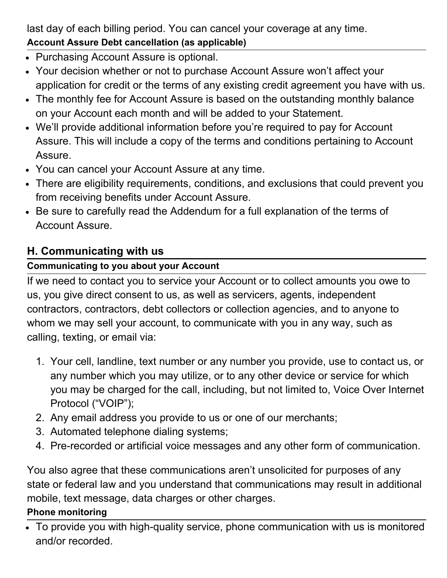## last day of each billing period. You can cancel your coverage at any time. Account Assure Debt cancellation (as applicable)

- Purchasing Account Assure is optional.
- Your decision whether or not to purchase Account Assure won't affect your application for credit or the terms of any existing credit agreement you have with us.
- The monthly fee for Account Assure is based on the outstanding monthly balance on your Account each month and will be added to your Statement.
- We'll provide additional information before you're required to pay for Account Assure. This will include a copy of the terms and conditions pertaining to Account Assure.
- You can cancel your Account Assure at any time.
- There are eligibility requirements, conditions, and exclusions that could prevent you from receiving benefits under Account Assure.
- Be sure to carefully read the Addendum for a full explanation of the terms of Account Assure.

# H. Communicating with us

## Communicating to you about your Account

If we need to contact you to service your Account or to collect amounts you owe to us, you give direct consent to us, as well as servicers, agents, independent contractors, contractors, debt collectors or collection agencies, and to anyone to whom we may sell your account, to communicate with you in any way, such as calling, texting, or email via:

- 1. Your cell, landline, text number or any number you provide, use to contact us, or any number which you may utilize, or to any other device or service for which you may be charged for the call, including, but not limited to, Voice Over Internet Protocol ("VOIP");
- 2. Any email address you provide to us or one of our merchants;
- 3. Automated telephone dialing systems;
- 4. Pre-recorded or artificial voice messages and any other form of communication.

You also agree that these communications aren't unsolicited for purposes of any state or federal law and you understand that communications may result in additional mobile, text message, data charges or other charges.

#### Phone monitoring

• To provide you with high-quality service, phone communication with us is monitored and/or recorded.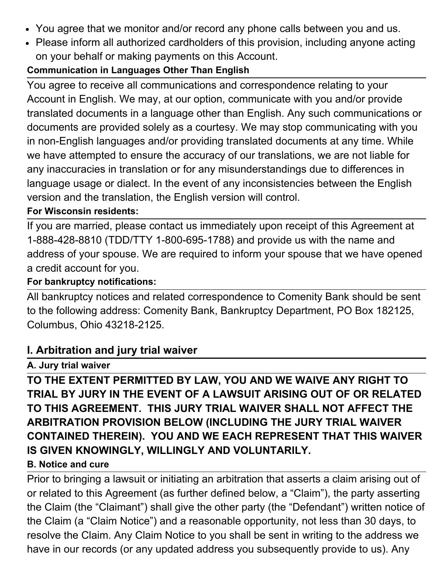- You agree that we monitor and/or record any phone calls between you and us.
- Please inform all authorized cardholders of this provision, including anyone acting on your behalf or making payments on this Account.

### Communication in Languages Other Than English

You agree to receive all communications and correspondence relating to your Account in English. We may, at our option, communicate with you and/or provide translated documents in a language other than English. Any such communications or documents are provided solely as a courtesy. We may stop communicating with you in non-English languages and/or providing translated documents at any time. While we have attempted to ensure the accuracy of our translations, we are not liable for any inaccuracies in translation or for any misunderstandings due to differences in language usage or dialect. In the event of any inconsistencies between the English version and the translation, the English version will control.

#### For Wisconsin residents:

If you are married, please contact us immediately upon receipt of this Agreement at 1-888-428-8810 (TDD/TTY 1-800-695-1788) and provide us with the name and address of your spouse. We are required to inform your spouse that we have opened a credit account for you.

### For bankruptcy notifications:

All bankruptcy notices and related correspondence to Comenity Bank should be sent to the following address: Comenity Bank, Bankruptcy Department, PO Box 182125, Columbus, Ohio 43218-2125.

## I. Arbitration and jury trial waiver

### A. Jury trial waiver

TO THE EXTENT PERMITTED BY LAW, YOU AND WE WAIVE ANY RIGHT TO TRIAL BY JURY IN THE EVENT OF A LAWSUIT ARISING OUT OF OR RELATED TO THIS AGREEMENT. THIS JURY TRIAL WAIVER SHALL NOT AFFECT THE ARBITRATION PROVISION BELOW (INCLUDING THE JURY TRIAL WAIVER CONTAINED THEREIN). YOU AND WE EACH REPRESENT THAT THIS WAIVER IS GIVEN KNOWINGLY, WILLINGLY AND VOLUNTARILY.

#### B. Notice and cure

Prior to bringing a lawsuit or initiating an arbitration that asserts a claim arising out of or related to this Agreement (as further defined below, a "Claim"), the party asserting the Claim (the "Claimant") shall give the other party (the "Defendant") written notice of the Claim (a "Claim Notice") and a reasonable opportunity, not less than 30 days, to resolve the Claim. Any Claim Notice to you shall be sent in writing to the address we have in our records (or any updated address you subsequently provide to us). Any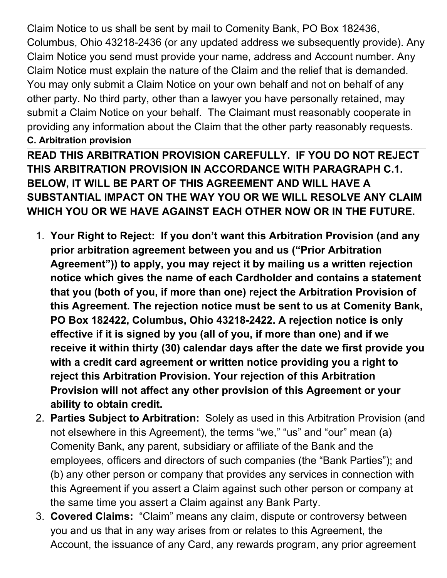Claim Notice to us shall be sent by mail to Comenity Bank, PO Box 182436, Columbus, Ohio 43218-2436 (or any updated address we subsequently provide). Any Claim Notice you send must provide your name, address and Account number. Any Claim Notice must explain the nature of the Claim and the relief that is demanded. You may only submit a Claim Notice on your own behalf and not on behalf of any other party. No third party, other than a lawyer you have personally retained, may submit a Claim Notice on your behalf. The Claimant must reasonably cooperate in providing any information about the Claim that the other party reasonably requests. C. Arbitration provision

READ THIS ARBITRATION PROVISION CAREFULLY. IF YOU DO NOT REJECT THIS ARBITRATION PROVISION IN ACCORDANCE WITH PARAGRAPH C.1. BELOW, IT WILL BE PART OF THIS AGREEMENT AND WILL HAVE A SUBSTANTIAL IMPACT ON THE WAY YOU OR WE WILL RESOLVE ANY CLAIM WHICH YOU OR WE HAVE AGAINST EACH OTHER NOW OR IN THE FUTURE.

- 1. Your Right to Reject: If you don't want this Arbitration Provision (and any prior arbitration agreement between you and us ("Prior Arbitration Agreement")) to apply, you may reject it by mailing us a written rejection notice which gives the name of each Cardholder and contains a statement that you (both of you, if more than one) reject the Arbitration Provision of this Agreement. The rejection notice must be sent to us at Comenity Bank, PO Box 182422, Columbus, Ohio 43218-2422. A rejection notice is only effective if it is signed by you (all of you, if more than one) and if we receive it within thirty (30) calendar days after the date we first provide you with a credit card agreement or written notice providing you a right to reject this Arbitration Provision. Your rejection of this Arbitration Provision will not affect any other provision of this Agreement or your ability to obtain credit.
- 2. Parties Subject to Arbitration: Solely as used in this Arbitration Provision (and not elsewhere in this Agreement), the terms "we," "us" and "our" mean (a) Comenity Bank, any parent, subsidiary or affiliate of the Bank and the employees, officers and directors of such companies (the "Bank Parties"); and (b) any other person or company that provides any services in connection with this Agreement if you assert a Claim against such other person or company at the same time you assert a Claim against any Bank Party.
- 3. Covered Claims: "Claim" means any claim, dispute or controversy between you and us that in any way arises from or relates to this Agreement, the Account, the issuance of any Card, any rewards program, any prior agreement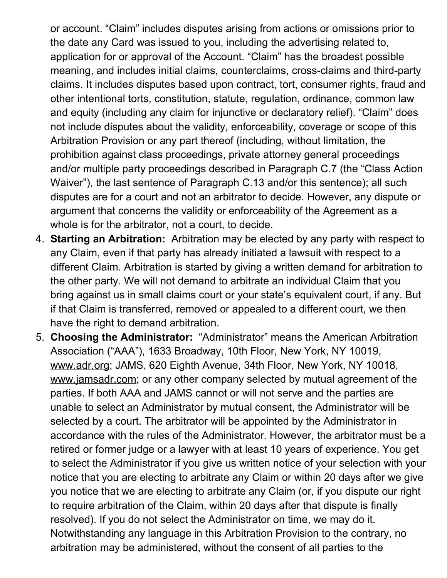or account. "Claim" includes disputes arising from actions or omissions prior to the date any Card was issued to you, including the advertising related to, application for or approval of the Account. "Claim" has the broadest possible meaning, and includes initial claims, counterclaims, cross-claims and third-party claims. It includes disputes based upon contract, tort, consumer rights, fraud and other intentional torts, constitution, statute, regulation, ordinance, common law and equity (including any claim for injunctive or declaratory relief). "Claim" does not include disputes about the validity, enforceability, coverage or scope of this Arbitration Provision or any part thereof (including, without limitation, the prohibition against class proceedings, private attorney general proceedings and/or multiple party proceedings described in Paragraph C.7 (the "Class Action Waiver"), the last sentence of Paragraph C.13 and/or this sentence); all such disputes are for a court and not an arbitrator to decide. However, any dispute or argument that concerns the validity or enforceability of the Agreement as a whole is for the arbitrator, not a court, to decide.

- 4. Starting an Arbitration: Arbitration may be elected by any party with respect to any Claim, even if that party has already initiated a lawsuit with respect to a different Claim. Arbitration is started by giving a written demand for arbitration to the other party. We will not demand to arbitrate an individual Claim that you bring against us in small claims court or your state's equivalent court, if any. But if that Claim is transferred, removed or appealed to a different court, we then have the right to demand arbitration.
- 5. Choosing the Administrator: "Administrator" means the American Arbitration Association ("AAA"), 1633 Broadway, 10th Floor, New York, NY 10019, www.adr.org; JAMS, 620 Eighth Avenue, 34th Floor, New York, NY 10018, www.jamsadr.com; or any other company selected by mutual agreement of the parties. If both AAA and JAMS cannot or will not serve and the parties are unable to select an Administrator by mutual consent, the Administrator will be selected by a court. The arbitrator will be appointed by the Administrator in accordance with the rules of the Administrator. However, the arbitrator must be a retired or former judge or a lawyer with at least 10 years of experience. You get to select the Administrator if you give us written notice of your selection with your notice that you are electing to arbitrate any Claim or within 20 days after we give you notice that we are electing to arbitrate any Claim (or, if you dispute our right to require arbitration of the Claim, within 20 days after that dispute is finally resolved). If you do not select the Administrator on time, we may do it. Notwithstanding any language in this Arbitration Provision to the contrary, no arbitration may be administered, without the consent of all parties to the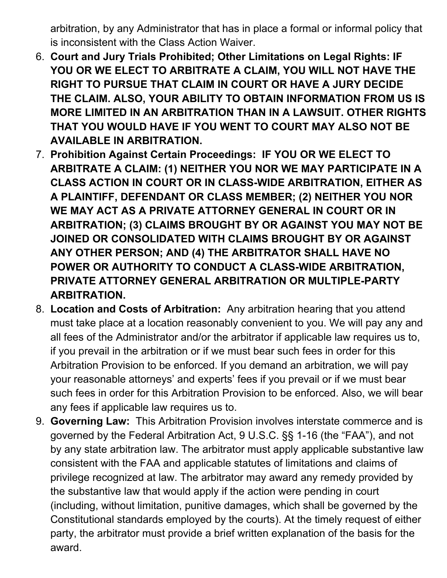arbitration, by any Administrator that has in place a formal or informal policy that is inconsistent with the Class Action Waiver.

- 6. Court and Jury Trials Prohibited; Other Limitations on Legal Rights: IF YOU OR WE ELECT TO ARBITRATE A CLAIM, YOU WILL NOT HAVE THE RIGHT TO PURSUE THAT CLAIM IN COURT OR HAVE A JURY DECIDE THE CLAIM. ALSO, YOUR ABILITY TO OBTAIN INFORMATION FROM US IS MORE LIMITED IN AN ARBITRATION THAN IN A LAWSUIT. OTHER RIGHTS THAT YOU WOULD HAVE IF YOU WENT TO COURT MAY ALSO NOT BE AVAILABLE IN ARBITRATION.
- 7. Prohibition Against Certain Proceedings: IF YOU OR WE ELECT TO ARBITRATE A CLAIM: (1) NEITHER YOU NOR WE MAY PARTICIPATE IN A CLASS ACTION IN COURT OR IN CLASS-WIDE ARBITRATION, EITHER AS A PLAINTIFF, DEFENDANT OR CLASS MEMBER; (2) NEITHER YOU NOR WE MAY ACT AS A PRIVATE ATTORNEY GENERAL IN COURT OR IN ARBITRATION; (3) CLAIMS BROUGHT BY OR AGAINST YOU MAY NOT BE JOINED OR CONSOLIDATED WITH CLAIMS BROUGHT BY OR AGAINST ANY OTHER PERSON; AND (4) THE ARBITRATOR SHALL HAVE NO POWER OR AUTHORITY TO CONDUCT A CLASS-WIDE ARBITRATION, PRIVATE ATTORNEY GENERAL ARBITRATION OR MULTIPLE-PARTY ARBITRATION.
- 8. Location and Costs of Arbitration: Any arbitration hearing that you attend must take place at a location reasonably convenient to you. We will pay any and all fees of the Administrator and/or the arbitrator if applicable law requires us to, if you prevail in the arbitration or if we must bear such fees in order for this Arbitration Provision to be enforced. If you demand an arbitration, we will pay your reasonable attorneys' and experts' fees if you prevail or if we must bear such fees in order for this Arbitration Provision to be enforced. Also, we will bear any fees if applicable law requires us to.
- 9. Governing Law: This Arbitration Provision involves interstate commerce and is governed by the Federal Arbitration Act, 9 U.S.C. §§ 1-16 (the "FAA"), and not by any state arbitration law. The arbitrator must apply applicable substantive law consistent with the FAA and applicable statutes of limitations and claims of privilege recognized at law. The arbitrator may award any remedy provided by the substantive law that would apply if the action were pending in court (including, without limitation, punitive damages, which shall be governed by the Constitutional standards employed by the courts). At the timely request of either party, the arbitrator must provide a brief written explanation of the basis for the award.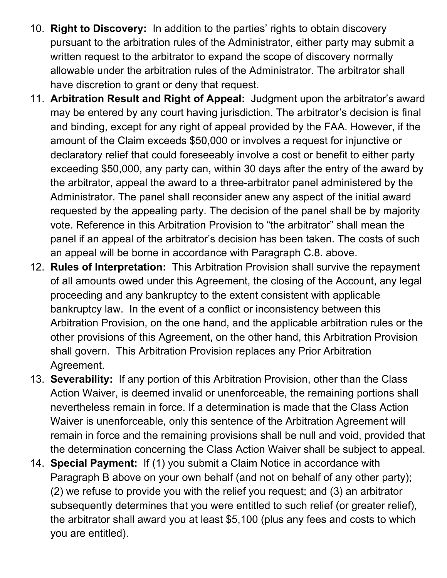- 10. Right to Discovery: In addition to the parties' rights to obtain discovery pursuant to the arbitration rules of the Administrator, either party may submit a written request to the arbitrator to expand the scope of discovery normally allowable under the arbitration rules of the Administrator. The arbitrator shall have discretion to grant or deny that request.
- 11. Arbitration Result and Right of Appeal: Judgment upon the arbitrator's award may be entered by any court having jurisdiction. The arbitrator's decision is final and binding, except for any right of appeal provided by the FAA. However, if the amount of the Claim exceeds \$50,000 or involves a request for injunctive or declaratory relief that could foreseeably involve a cost or benefit to either party exceeding \$50,000, any party can, within 30 days after the entry of the award by the arbitrator, appeal the award to a three-arbitrator panel administered by the Administrator. The panel shall reconsider anew any aspect of the initial award requested by the appealing party. The decision of the panel shall be by majority vote. Reference in this Arbitration Provision to "the arbitrator" shall mean the panel if an appeal of the arbitrator's decision has been taken. The costs of such an appeal will be borne in accordance with Paragraph C.8. above.
- 12. Rules of Interpretation: This Arbitration Provision shall survive the repayment of all amounts owed under this Agreement, the closing of the Account, any legal proceeding and any bankruptcy to the extent consistent with applicable bankruptcy law. In the event of a conflict or inconsistency between this Arbitration Provision, on the one hand, and the applicable arbitration rules or the other provisions of this Agreement, on the other hand, this Arbitration Provision shall govern. This Arbitration Provision replaces any Prior Arbitration Agreement.
- 13. Severability: If any portion of this Arbitration Provision, other than the Class Action Waiver, is deemed invalid or unenforceable, the remaining portions shall nevertheless remain in force. If a determination is made that the Class Action Waiver is unenforceable, only this sentence of the Arbitration Agreement will remain in force and the remaining provisions shall be null and void, provided that the determination concerning the Class Action Waiver shall be subject to appeal.
- 14. Special Payment: If (1) you submit a Claim Notice in accordance with Paragraph B above on your own behalf (and not on behalf of any other party); (2) we refuse to provide you with the relief you request; and (3) an arbitrator subsequently determines that you were entitled to such relief (or greater relief), the arbitrator shall award you at least \$5,100 (plus any fees and costs to which you are entitled).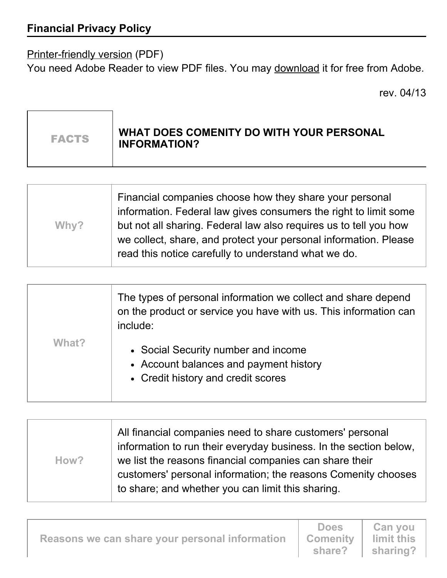## Printer-friendly version (PDF)

You need Adobe Reader to view PDF files. You may download it for free from Adobe.

rev. 04/13

| <b>WHAT DOES COMENITY DO WITH YOUR PERSONAL</b><br><b>FACTS</b><br><b>INFORMATION?</b> |  |
|----------------------------------------------------------------------------------------|--|
|----------------------------------------------------------------------------------------|--|

| Why? | Financial companies choose how they share your personal<br>information. Federal law gives consumers the right to limit some<br>but not all sharing. Federal law also requires us to tell you how<br>we collect, share, and protect your personal information. Please<br>read this notice carefully to understand what we do. |
|------|------------------------------------------------------------------------------------------------------------------------------------------------------------------------------------------------------------------------------------------------------------------------------------------------------------------------------|
|------|------------------------------------------------------------------------------------------------------------------------------------------------------------------------------------------------------------------------------------------------------------------------------------------------------------------------------|

|       | The types of personal information we collect and share depend<br>on the product or service you have with us. This information can<br>include: |
|-------|-----------------------------------------------------------------------------------------------------------------------------------------------|
| What? | • Social Security number and income<br>• Account balances and payment history<br>• Credit history and credit scores                           |

| How? | All financial companies need to share customers' personal<br>information to run their everyday business. In the section below,<br>we list the reasons financial companies can share their<br>customers' personal information; the reasons Comenity chooses<br>to share; and whether you can limit this sharing. |
|------|-----------------------------------------------------------------------------------------------------------------------------------------------------------------------------------------------------------------------------------------------------------------------------------------------------------------|
|------|-----------------------------------------------------------------------------------------------------------------------------------------------------------------------------------------------------------------------------------------------------------------------------------------------------------------|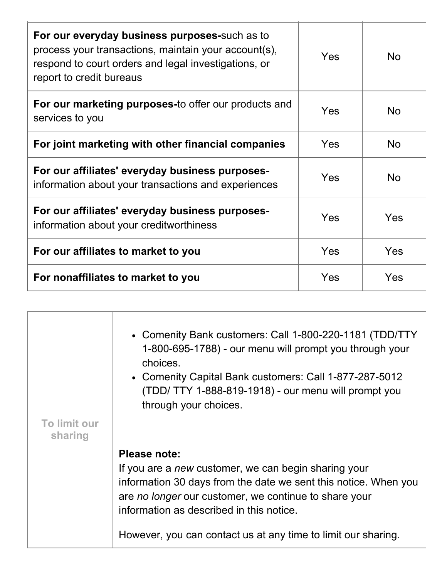| For our everyday business purposes-such as to<br>process your transactions, maintain your account(s),<br>respond to court orders and legal investigations, or<br>report to credit bureaus | Yes | <b>No</b> |
|-------------------------------------------------------------------------------------------------------------------------------------------------------------------------------------------|-----|-----------|
| For our marketing purposes-to offer our products and<br>services to you                                                                                                                   | Yes | <b>No</b> |
| For joint marketing with other financial companies                                                                                                                                        | Yes | <b>No</b> |
| For our affiliates' everyday business purposes-<br>information about your transactions and experiences                                                                                    | Yes | <b>No</b> |
| For our affiliates' everyday business purposes-<br>information about your creditworthiness                                                                                                | Yes | Yes       |
| For our affiliates to market to you                                                                                                                                                       | Yes | Yes       |
| For nonaffiliates to market to you                                                                                                                                                        | Yes | Yes       |

|                         | • Comenity Bank customers: Call 1-800-220-1181 (TDD/TTY<br>1-800-695-1788) - our menu will prompt you through your<br>choices.<br>• Comenity Capital Bank customers: Call 1-877-287-5012<br>(TDD/ TTY 1-888-819-1918) - our menu will prompt you<br>through your choices.                                     |
|-------------------------|---------------------------------------------------------------------------------------------------------------------------------------------------------------------------------------------------------------------------------------------------------------------------------------------------------------|
| To limit our<br>sharing |                                                                                                                                                                                                                                                                                                               |
|                         | Please note:<br>If you are a new customer, we can begin sharing your<br>information 30 days from the date we sent this notice. When you<br>are no longer our customer, we continue to share your<br>information as described in this notice.<br>However, you can contact us at any time to limit our sharing. |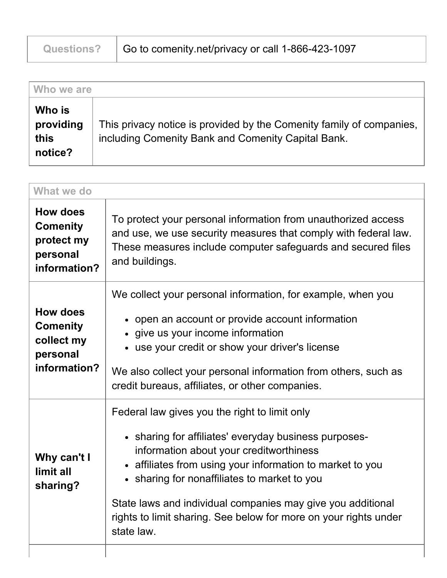| Who we are                             |                                                                                                                            |
|----------------------------------------|----------------------------------------------------------------------------------------------------------------------------|
| Who is<br>providing<br>this<br>notice? | This privacy notice is provided by the Comenity family of companies,<br>including Comenity Bank and Comenity Capital Bank. |

| To protect your personal information from unauthorized access<br>and use, we use security measures that comply with federal law.<br>These measures include computer safeguards and secured files<br>and buildings.                                                                                                                                                                                              |
|-----------------------------------------------------------------------------------------------------------------------------------------------------------------------------------------------------------------------------------------------------------------------------------------------------------------------------------------------------------------------------------------------------------------|
| We collect your personal information, for example, when you<br>open an account or provide account information<br>$\bullet$<br>give us your income information<br>• use your credit or show your driver's license<br>We also collect your personal information from others, such as<br>credit bureaus, affiliates, or other companies.                                                                           |
| Federal law gives you the right to limit only<br>• sharing for affiliates' everyday business purposes-<br>information about your creditworthiness<br>• affiliates from using your information to market to you<br>• sharing for nonaffiliates to market to you<br>State laws and individual companies may give you additional<br>rights to limit sharing. See below for more on your rights under<br>state law. |
|                                                                                                                                                                                                                                                                                                                                                                                                                 |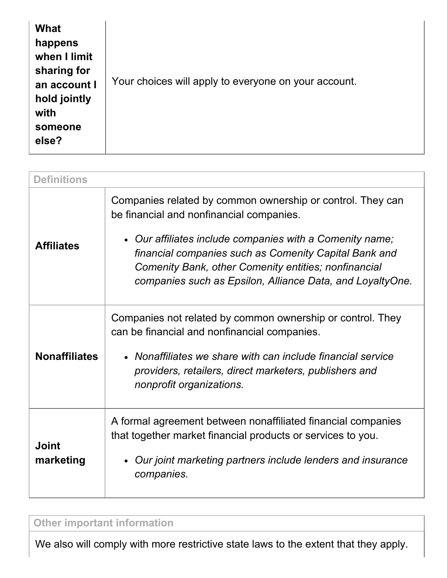| What<br>happens<br>when I limit<br>sharing for<br>an account I<br>hold jointly<br>with<br>someone<br>else? | Your choices will apply to everyone on your account. |
|------------------------------------------------------------------------------------------------------------|------------------------------------------------------|
|------------------------------------------------------------------------------------------------------------|------------------------------------------------------|

| <b>Definitions</b>   |                                                                                                                                                                                                                                                                                                                                                  |  |
|----------------------|--------------------------------------------------------------------------------------------------------------------------------------------------------------------------------------------------------------------------------------------------------------------------------------------------------------------------------------------------|--|
| <b>Affiliates</b>    | Companies related by common ownership or control. They can<br>be financial and nonfinancial companies.<br>• Our affiliates include companies with a Comenity name;<br>financial companies such as Comenity Capital Bank and<br>Comenity Bank, other Comenity entities; nonfinancial<br>companies such as Epsilon, Alliance Data, and LoyaltyOne. |  |
| <b>Nonaffiliates</b> | Companies not related by common ownership or control. They<br>can be financial and nonfinancial companies.<br>• Nonaffiliates we share with can include financial service<br>providers, retailers, direct marketers, publishers and<br>nonprofit organizations.                                                                                  |  |
| Joint<br>marketing   | A formal agreement between nonaffiliated financial companies<br>that together market financial products or services to you.<br>Our joint marketing partners include lenders and insurance<br>companies.                                                                                                                                          |  |

Other important information

We also will comply with more restrictive state laws to the extent that they apply.